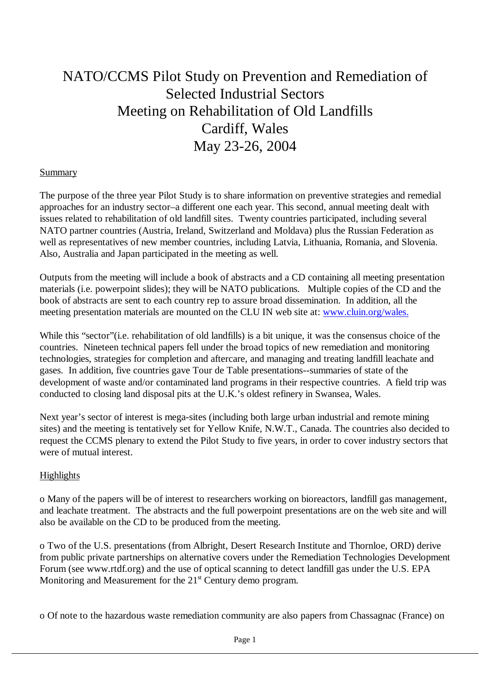## NATO/CCMS Pilot Study on Prevention and Remediation of Selected Industrial Sectors Meeting on Rehabilitation of Old Landfills Cardiff, Wales May 23-26, 2004

## **Summary**

The purpose of the three year Pilot Study is to share information on preventive strategies and remedial approaches for an industry sector–a different one each year. This second, annual meeting dealt with issues related to rehabilitation of old landfill sites. Twenty countries participated, including several NATO partner countries (Austria, Ireland, Switzerland and Moldava) plus the Russian Federation as well as representatives of new member countries, including Latvia, Lithuania, Romania, and Slovenia. Also, Australia and Japan participated in the meeting as well.

Outputs from the meeting will include a book of abstracts and a CD containing all meeting presentation materials (i.e. powerpoint slides); they will be NATO publications. Multiple copies of the CD and the book of abstracts are sent to each country rep to assure broad dissemination. In addition, all the meeting presentation materials are mounted on the CLU IN web site at: www.cluin.org/wales.

While this "sector"(i.e. rehabilitation of old landfills) is a bit unique, it was the consensus choice of the countries. Nineteen technical papers fell under the broad topics of new remediation and monitoring technologies, strategies for completion and aftercare, and managing and treating landfill leachate and gases. In addition, five countries gave Tour de Table presentations--summaries of state of the development of waste and/or contaminated land programs in their respective countries. A field trip was conducted to closing land disposal pits at the U.K.'s oldest refinery in Swansea, Wales.

Next year's sector of interest is mega-sites (including both large urban industrial and remote mining sites) and the meeting is tentatively set for Yellow Knife, N.W.T., Canada. The countries also decided to request the CCMS plenary to extend the Pilot Study to five years, in order to cover industry sectors that were of mutual interest.

## Highlights

o Many of the papers will be of interest to researchers working on bioreactors, landfill gas management, and leachate treatment. The abstracts and the full powerpoint presentations are on the web site and will also be available on the CD to be produced from the meeting.

o Two of the U.S. presentations (from Albright, Desert Research Institute and Thornloe, ORD) derive from public private partnerships on alternative covers under the Remediation Technologies Development Forum (see www.rtdf.org) and the use of optical scanning to detect landfill gas under the U.S. EPA Monitoring and Measurement for the  $21<sup>st</sup>$  Century demo program.

o Of note to the hazardous waste remediation community are also papers from Chassagnac (France) on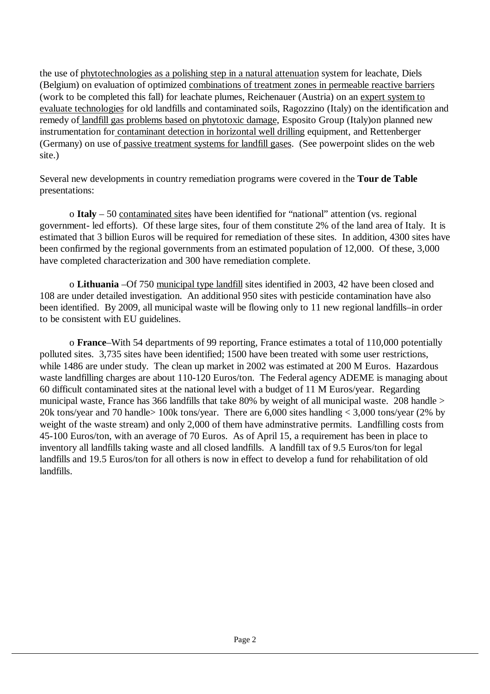the use of phytotechnologies as a polishing step in a natural attenuation system for leachate, Diels (Belgium) on evaluation of optimized combinations of treatment zones in permeable reactive barriers (work to be completed this fall) for leachate plumes, Reichenauer (Austria) on an expert system to evaluate technologies for old landfills and contaminated soils, Ragozzino (Italy) on the identification and remedy of landfill gas problems based on phytotoxic damage, Esposito Group (Italy)on planned new instrumentation for contaminant detection in horizontal well drilling equipment, and Rettenberger (Germany) on use of passive treatment systems for landfill gases. (See powerpoint slides on the web site.)

Several new developments in country remediation programs were covered in the **Tour de Table** presentations:

o **Italy** – 50 contaminated sites have been identified for "national" attention (vs. regional government- led efforts). Of these large sites, four of them constitute 2% of the land area of Italy. It is estimated that 3 billion Euros will be required for remediation of these sites. In addition, 4300 sites have been confirmed by the regional governments from an estimated population of 12,000. Of these, 3,000 have completed characterization and 300 have remediation complete.

o **Lithuania** –Of 750 municipal type landfill sites identified in 2003, 42 have been closed and 108 are under detailed investigation. An additional 950 sites with pesticide contamination have also been identified. By 2009, all municipal waste will be flowing only to 11 new regional landfills–in order to be consistent with EU guidelines.

o **France**–With 54 departments of 99 reporting, France estimates a total of 110,000 potentially polluted sites. 3,735 sites have been identified; 1500 have been treated with some user restrictions, while 1486 are under study. The clean up market in 2002 was estimated at 200 M Euros. Hazardous waste landfilling charges are about 110-120 Euros/ton. The Federal agency ADEME is managing about 60 difficult contaminated sites at the national level with a budget of 11 M Euros/year. Regarding municipal waste, France has 366 landfills that take 80% by weight of all municipal waste. 208 handle > 20k tons/year and 70 handle> 100k tons/year. There are 6,000 sites handling < 3,000 tons/year (2% by weight of the waste stream) and only 2,000 of them have adminstrative permits. Landfilling costs from 45-100 Euros/ton, with an average of 70 Euros. As of April 15, a requirement has been in place to inventory all landfills taking waste and all closed landfills. A landfill tax of 9.5 Euros/ton for legal landfills and 19.5 Euros/ton for all others is now in effect to develop a fund for rehabilitation of old landfills.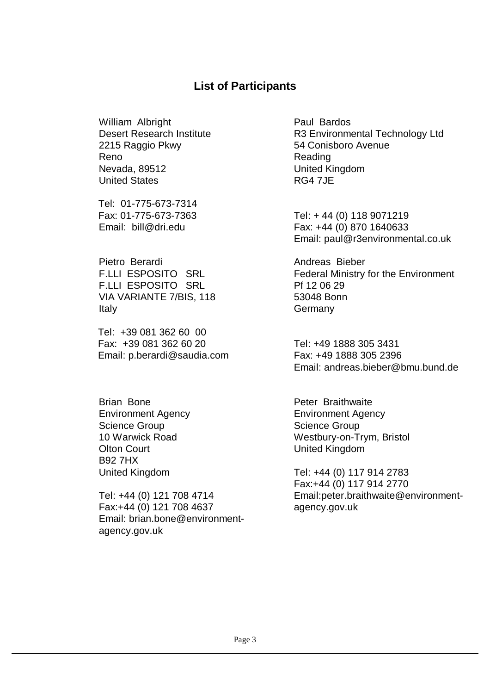## **List of Participants**

William Albright Desert Research Institute 2215 Raggio Pkwy Reno Nevada, 89512 United States

 Tel: 01-775-673-7314 Fax: 01-775-673-7363 Email: bill@dri.edu

Pietro Berardi F.LLI ESPOSITO SRL F.LLI ESPOSITO SRL VIA VARIANTE 7/BIS, 118 Italy

Tel: +39 081 362 60 00 Fax: +39 081 362 60 20 Email: p.berardi@saudia.com

Brian Bone Environment Agency Science Group 10 Warwick Road Olton Court B92 7HX United Kingdom

Tel: +44 (0) 121 708 4714 Fax:+44 (0) 121 708 4637 Email: brian.bone@environmentagency.gov.uk

Paul Bardos R3 Environmental Technology Ltd 54 Conisboro Avenue Reading United Kingdom RG4 7JE

Tel: + 44 (0) 118 9071219 Fax: +44 (0) 870 1640633 Email: paul@r3environmental.co.uk

Andreas Bieber Federal Ministry for the Environment Pf 12 06 29 53048 Bonn **Germany** 

Tel: +49 1888 305 3431 Fax: +49 1888 305 2396 Email: andreas.bieber@bmu.bund.de

Peter Braithwaite Environment Agency Science Group Westbury-on-Trym, Bristol United Kingdom

Tel: +44 (0) 117 914 2783 Fax:+44 (0) 117 914 2770 Email:peter.braithwaite@environmentagency.gov.uk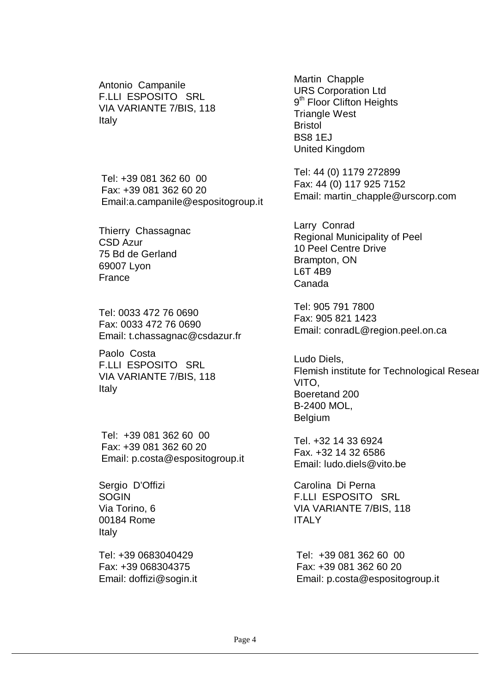Antonio Campanile F.LLI ESPOSITO SRL VIA VARIANTE 7/BIS, 118 Italy

Tel: +39 081 362 60 00 Fax: +39 081 362 60 20 Email:a.campanile@espositogroup.it

Thierry Chassagnac CSD Azur 75 Bd de Gerland 69007 Lyon France

Tel: 0033 472 76 0690 Fax: 0033 472 76 0690 Email: t.chassagnac@csdazur.fr

Paolo Costa F.LLI ESPOSITO SRL VIA VARIANTE 7/BIS, 118 Italy

Tel: +39 081 362 60 00 Fax: +39 081 362 60 20 Email: p.costa@espositogroup.it

Sergio D'Offizi **SOGIN** Via Torino, 6 00184 Rome Italy

Tel: +39 0683040429 Fax: +39 068304375 Email: doffizi@sogin.it Martin Chapple URS Corporation Ltd 9<sup>th</sup> Floor Clifton Heights Triangle West Bristol BS8 1EJ United Kingdom

Tel: 44 (0) 1179 272899 Fax: 44 (0) 117 925 7152 Email: martin\_chapple@urscorp.com

Larry Conrad Regional Municipality of Peel 10 Peel Centre Drive Brampton, ON L6T 4B9 Canada

Tel: 905 791 7800 Fax: 905 821 1423 Email: conradL@region.peel.on.ca

Ludo Diels, Flemish institute for Technological Resear VITO, Boeretand 200 B-2400 MOL, Belgium

Tel. +32 14 33 6924 Fax. +32 14 32 6586 Email: ludo.diels@vito.be

Carolina Di Perna F.LLI ESPOSITO SRL VIA VARIANTE 7/BIS, 118 **ITALY** 

Tel: +39 081 362 60 00 Fax: +39 081 362 60 20 Email: p.costa@espositogroup.it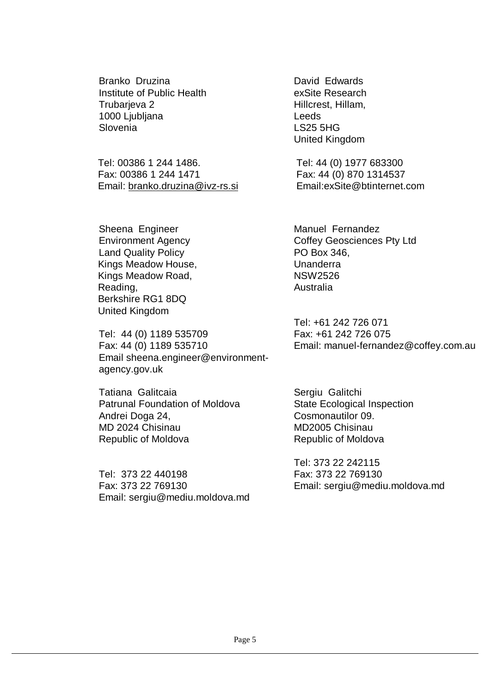Branko Druzina Institute of Public Health Trubarjeva 2 1000 Ljubljana Slovenia

Tel: 00386 1 244 1486. Fax: 00386 1 244 1471 Email: branko.druzina@ivz-rs.si

Sheena Engineer Environment Agency Land Quality Policy Kings Meadow House, Kings Meadow Road, Reading, Berkshire RG1 8DQ United Kingdom

Tel: 44 (0) 1189 535709 Fax: 44 (0) 1189 535710 Email sheena.engineer@environmentagency.gov.uk

Tatiana Galitcaia Patrunal Foundation of Moldova Andrei Doga 24, MD 2024 Chisinau Republic of Moldova

Tel: 373 22 440198 Fax: 373 22 769130 Email: sergiu@mediu.moldova.md David Edwards exSite Research Hillcrest, Hillam, Leeds LS25 5HG United Kingdom

Tel: 44 (0) 1977 683300 Fax: 44 (0) 870 1314537 Email:exSite@btinternet.com

Manuel Fernandez Coffey Geosciences Pty Ltd PO Box 346, Unanderra NSW2526 Australia

Tel: +61 242 726 071 Fax: +61 242 726 075 Email: manuel-fernandez@coffey.com.au

Sergiu Galitchi State Ecological Inspection Cosmonautilor 09. MD2005 Chisinau Republic of Moldova

Tel: 373 22 242115 Fax: 373 22 769130 Email: sergiu@mediu.moldova.md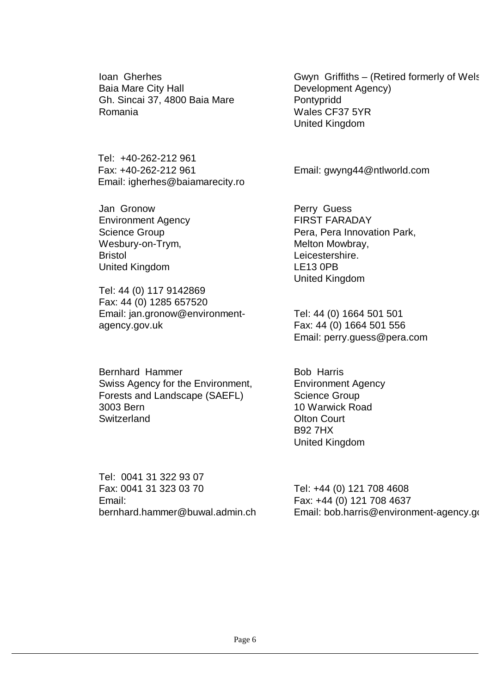Ioan Gherhes Baia Mare City Hall Gh. Sincai 37, 4800 Baia Mare Romania

Tel: +40-262-212 961 Fax: +40-262-212 961 Email: igherhes@baiamarecity.ro

Jan Gronow Environment Agency Science Group Wesbury-on-Trym, Bristol United Kingdom

Tel: 44 (0) 117 9142869 Fax: 44 (0) 1285 657520 Email: jan.gronow@environmentagency.gov.uk

Bernhard Hammer Swiss Agency for the Environment, Forests and Landscape (SAEFL) 3003 Bern **Switzerland** 

Tel: 0041 31 322 93 07 Fax: 0041 31 323 03 70 Email: bernhard.hammer@buwal.admin.ch Gwyn Griffiths – (Retired formerly of Wels Development Agency) Pontypridd Wales CF37 5YR United Kingdom

Email: gwyng44@ntlworld.com

Perry Guess FIRST FARADAY Pera, Pera Innovation Park, Melton Mowbray, Leicestershire. LE13 0PB United Kingdom

Tel: 44 (0) 1664 501 501 Fax: 44 (0) 1664 501 556 Email: perry.guess@pera.com

Bob Harris Environment Agency Science Group 10 Warwick Road Olton Court B92 7HX United Kingdom

Tel: +44 (0) 121 708 4608 Fax: +44 (0) 121 708 4637 Email: bob.harris@environment-agency.go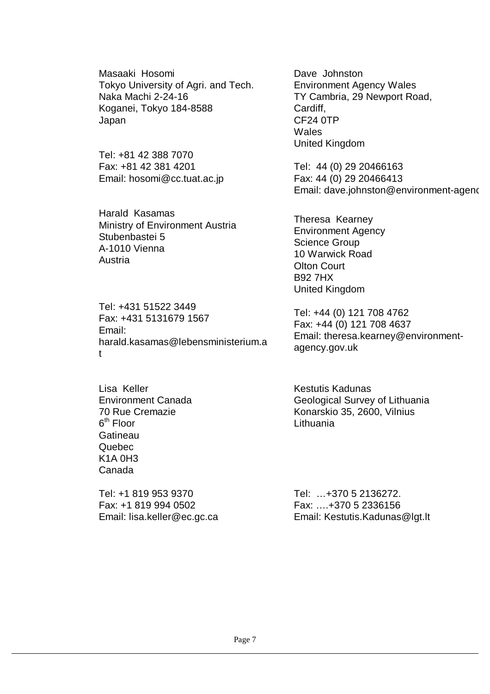Masaaki Hosomi Tokyo University of Agri. and Tech. Naka Machi 2-24-16 Koganei, Tokyo 184-8588 Japan

Tel: +81 42 388 7070 Fax: +81 42 381 4201 Email: hosomi@cc.tuat.ac.jp

Harald Kasamas Ministry of Environment Austria Stubenbastei 5 A-1010 Vienna Austria

Tel: +431 51522 3449 Fax: +431 5131679 1567 Email: harald.kasamas@lebensministerium.a t

Lisa Keller Environment Canada 70 Rue Cremazie  $6<sup>th</sup>$  Floor **Gatineau** Quebec K1A 0H3 Canada

Tel: +1 819 953 9370 Fax: +1 819 994 0502 Email: lisa.keller@ec.gc.ca Dave Johnston Environment Agency Wales TY Cambria, 29 Newport Road, Cardiff, CF24 0TP **Wales** United Kingdom

Tel: 44 (0) 29 20466163 Fax: 44 (0) 29 20466413 Email: dave.johnston@environment-agenc

Theresa Kearney Environment Agency Science Group 10 Warwick Road Olton Court B92 7HX United Kingdom

Tel: +44 (0) 121 708 4762 Fax: +44 (0) 121 708 4637 Email: theresa.kearney@environmentagency.gov.uk

Kestutis Kadunas Geological Survey of Lithuania Konarskio 35, 2600, Vilnius Lithuania

Tel: …+370 5 2136272. Fax: ….+370 5 2336156 Email: Kestutis.Kadunas@lgt.lt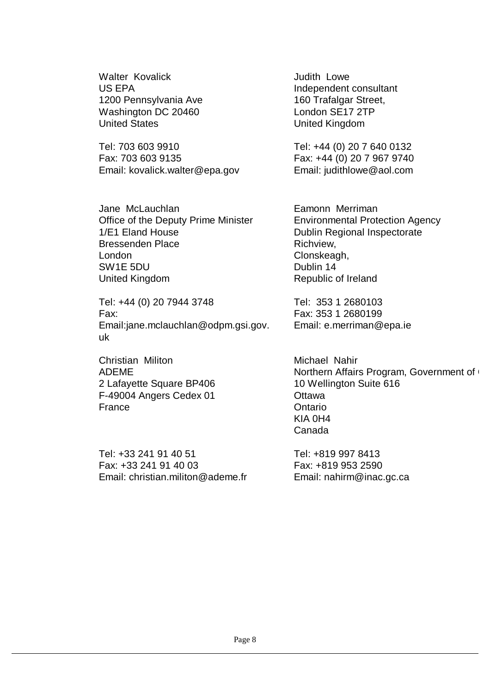Walter Kovalick US EPA 1200 Pennsylvania Ave Washington DC 20460 United States

Tel: 703 603 9910 Fax: 703 603 9135 Email: kovalick.walter@epa.gov

Jane McLauchlan Office of the Deputy Prime Minister 1/E1 Eland House Bressenden Place London SW1E 5DU United Kingdom

Tel: +44 (0) 20 7944 3748 Fax: Email:jane.mclauchlan@odpm.gsi.gov. uk

Christian Militon ADEME 2 Lafayette Square BP406 F-49004 Angers Cedex 01 France

Tel: +33 241 91 40 51 Fax: +33 241 91 40 03 Email: christian.militon@ademe.fr Judith Lowe Independent consultant 160 Trafalgar Street, London SE17 2TP United Kingdom

Tel: +44 (0) 20 7 640 0132 Fax: +44 (0) 20 7 967 9740 Email: judithlowe@aol.com

Eamonn Merriman Environmental Protection Agency Dublin Regional Inspectorate Richview, Clonskeagh, Dublin 14 Republic of Ireland

Tel: 353 1 2680103 Fax: 353 1 2680199 Email: e.merriman@epa.ie

Michael Nahir Northern Affairs Program, Government of 10 Wellington Suite 616 **Ottawa Ontario** KIA 0H4 Canada

Tel: +819 997 8413 Fax: +819 953 2590 Email: nahirm@inac.gc.ca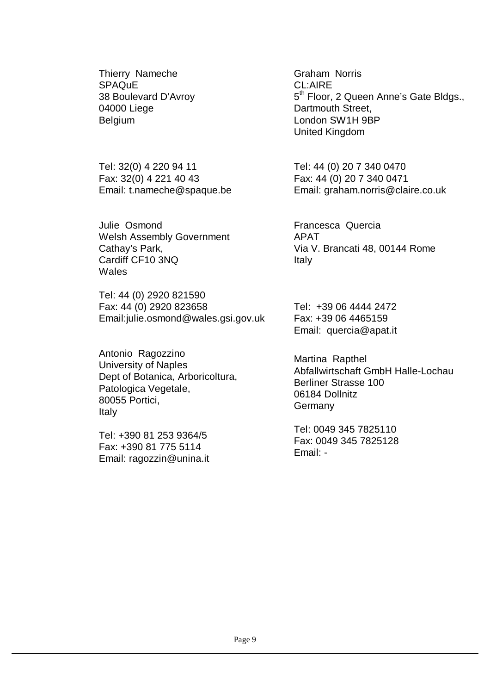Thierry Nameche SPAQuE 38 Boulevard D'Avroy 04000 Liege Belgium

Tel: 32(0) 4 220 94 11 Fax: 32(0) 4 221 40 43 Email: t.nameche@spaque.be

Julie Osmond Welsh Assembly Government Cathay's Park, Cardiff CF10 3NQ **Wales** 

Tel: 44 (0) 2920 821590 Fax: 44 (0) 2920 823658 Email:julie.osmond@wales.gsi.gov.uk

Antonio Ragozzino University of Naples Dept of Botanica, Arboricoltura, Patologica Vegetale, 80055 Portici, Italy

Tel: +390 81 253 9364/5 Fax: +390 81 775 5114 Email: ragozzin@unina.it Graham Norris CL:AIRE 5<sup>th</sup> Floor, 2 Queen Anne's Gate Bldgs., Dartmouth Street, London SW1H 9BP United Kingdom

Tel: 44 (0) 20 7 340 0470 Fax: 44 (0) 20 7 340 0471 Email: graham.norris@claire.co.uk

Francesca Quercia APAT Via V. Brancati 48, 00144 Rome Italy

Tel: +39 06 4444 2472 Fax: +39 06 4465159 Email: quercia@apat.it

Martina Rapthel Abfallwirtschaft GmbH Halle-Lochau Berliner Strasse 100 06184 Dollnitz **Germany** 

Tel: 0049 345 7825110 Fax: 0049 345 7825128 Email: -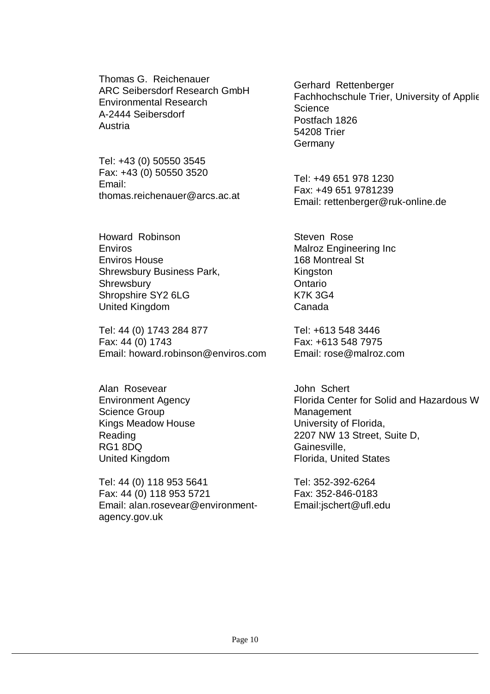Thomas G. Reichenauer ARC Seibersdorf Research GmbH Environmental Research A-2444 Seibersdorf Austria

Tel: +43 (0) 50550 3545 Fax: +43 (0) 50550 3520 Email: thomas.reichenauer@arcs.ac.at

Howard Robinson Enviros Enviros House Shrewsbury Business Park, **Shrewsbury** Shropshire SY2 6LG United Kingdom

Tel: 44 (0) 1743 284 877 Fax: 44 (0) 1743 Email: howard.robinson@enviros.com

Alan Rosevear Environment Agency Science Group Kings Meadow House Reading RG1 8DQ United Kingdom

Tel: 44 (0) 118 953 5641 Fax: 44 (0) 118 953 5721 Email: alan.rosevear@environmentagency.gov.uk

Gerhard Rettenberger Fachhochschule Trier, University of Applie **Science** Postfach 1826 54208 Trier **Germany** 

Tel: +49 651 978 1230 Fax: +49 651 9781239 Email: rettenberger@ruk-online.de

Steven Rose Malroz Engineering Inc 168 Montreal St **Kingston Ontario** K7K 3G4 Canada

Tel: +613 548 3446 Fax: +613 548 7975 Email: rose@malroz.com

John Schert Florida Center for Solid and Hazardous W **Management** University of Florida, 2207 NW 13 Street, Suite D, Gainesville, Florida, United States

Tel: 352-392-6264 Fax: 352-846-0183 Email:jschert@ufl.edu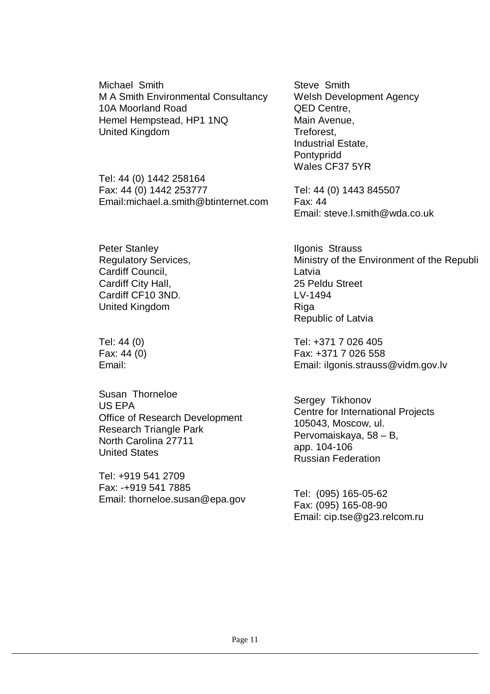Michael Smith M A Smith Environmental Consultancy 10A Moorland Road Hemel Hempstead, HP1 1NQ United Kingdom

Tel: 44 (0) 1442 258164 Fax: 44 (0) 1442 253777 Email:michael.a.smith@btinternet.com

Peter Stanley Regulatory Services, Cardiff Council, Cardiff City Hall, Cardiff CF10 3ND. United Kingdom

Tel: 44 (0) Fax: 44 (0) Email:

Susan Thorneloe US EPA Office of Research Development Research Triangle Park North Carolina 27711 United States

Tel: +919 541 2709 Fax: -+919 541 7885 Email: thorneloe.susan@epa.gov Steve Smith Welsh Development Agency QED Centre, Main Avenue, Treforest, Industrial Estate, Pontypridd Wales CF37 5YR

Tel: 44 (0) 1443 845507 Fax: 44 Email: steve.l.smith@wda.co.uk

Ilgonis Strauss Ministry of the Environment of the Republi Latvia 25 Peldu Street LV-1494 Riga Republic of Latvia

Tel: +371 7 026 405 Fax: +371 7 026 558 Email: ilgonis.strauss@vidm.gov.lv

Sergey Tikhonov Centre for International Projects 105043, Moscow, ul. Pervomaiskaya, 58 – B, app. 104-106 Russian Federation

Tel: (095) 165-05-62 Fax: (095) 165-08-90 Email: cip.tse@g23.relcom.ru